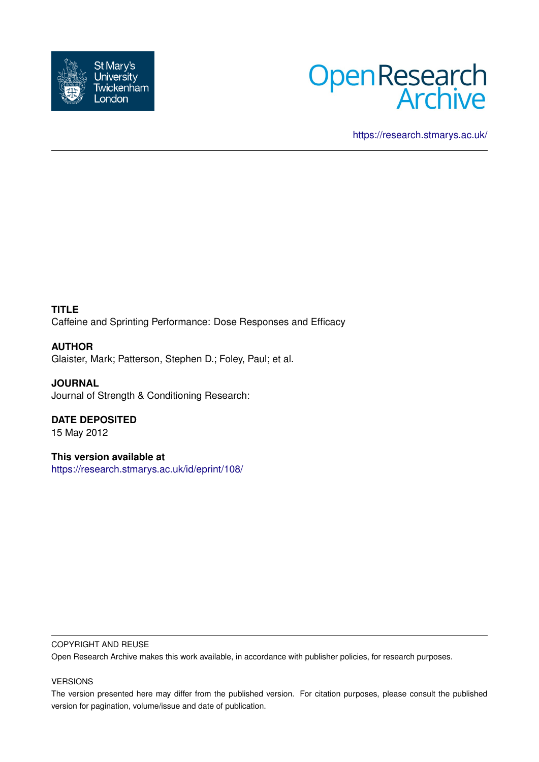



<https://research.stmarys.ac.uk/>

**TITLE** Caffeine and Sprinting Performance: Dose Responses and Efficacy

**AUTHOR** Glaister, Mark; Patterson, Stephen D.; Foley, Paul; et al.

**JOURNAL** Journal of Strength & Conditioning Research:

**DATE DEPOSITED**

15 May 2012

**This version available at** <https://research.stmarys.ac.uk/id/eprint/108/>

### COPYRIGHT AND REUSE

Open Research Archive makes this work available, in accordance with publisher policies, for research purposes.

### VERSIONS

The version presented here may differ from the published version. For citation purposes, please consult the published version for pagination, volume/issue and date of publication.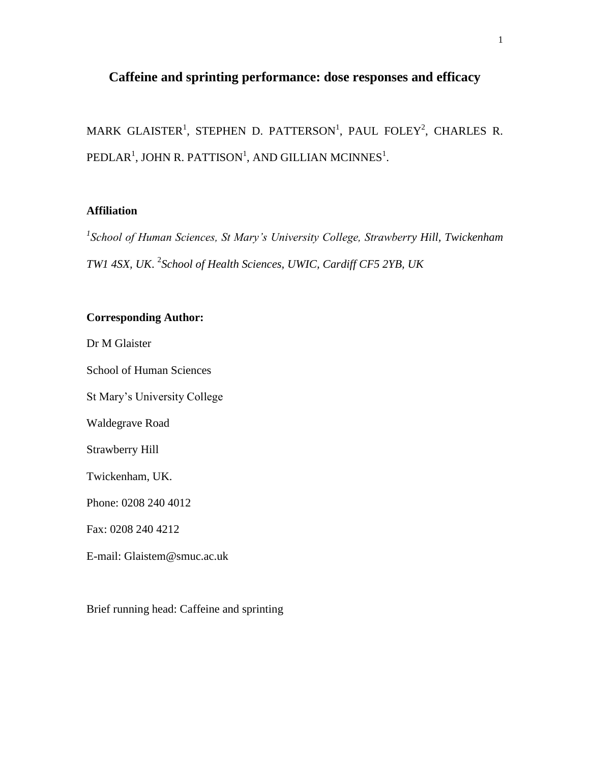# **Caffeine and sprinting performance: dose responses and efficacy**

MARK GLAISTER<sup>1</sup>, STEPHEN D. PATTERSON<sup>1</sup>, PAUL FOLEY<sup>2</sup>, CHARLES R. PEDLAR $^1$ , JOHN R. PATTISON $^1$ , AND GILLIAN MCINNES $^1$ .

# **Affiliation**

<sup>1</sup> School of Human Sciences, St Mary's University College, Strawberry Hill, Twickenham *TW1 4SX, UK*. 2 *School of Health Sciences, UWIC, Cardiff CF5 2YB, UK*

# **Corresponding Author:**

Dr M Glaister

School of Human Sciences

St Mary's University College

Waldegrave Road

Strawberry Hill

Twickenham, UK.

Phone: 0208 240 4012

Fax: 0208 240 4212

E-mail: Glaistem@smuc.ac.uk

Brief running head: Caffeine and sprinting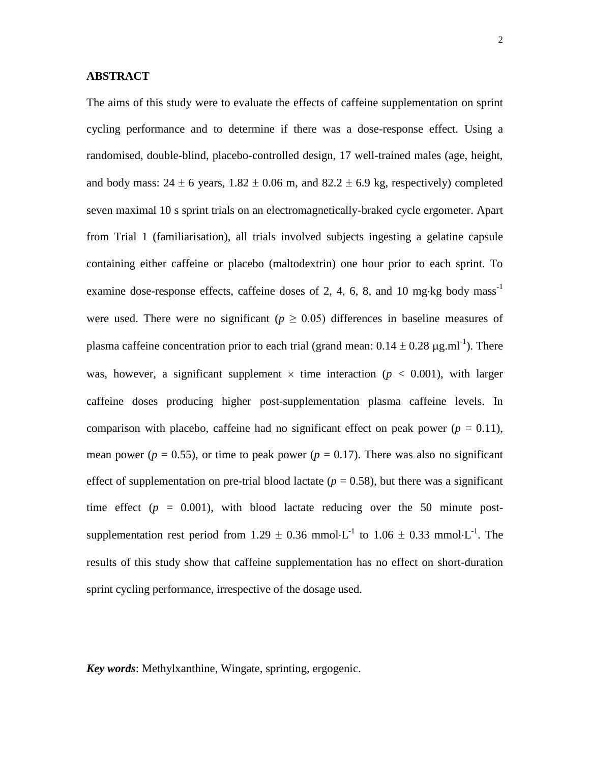# **ABSTRACT**

The aims of this study were to evaluate the effects of caffeine supplementation on sprint cycling performance and to determine if there was a dose-response effect. Using a randomised, double-blind, placebo-controlled design, 17 well-trained males (age, height, and body mass:  $24 \pm 6$  years,  $1.82 \pm 0.06$  m, and  $82.2 \pm 6.9$  kg, respectively) completed seven maximal 10 s sprint trials on an electromagnetically-braked cycle ergometer. Apart from Trial 1 (familiarisation), all trials involved subjects ingesting a gelatine capsule containing either caffeine or placebo (maltodextrin) one hour prior to each sprint. To examine dose-response effects, caffeine doses of 2, 4, 6, 8, and 10 mg·kg body mass<sup>-1</sup> were used. There were no significant ( $p \geq 0.05$ ) differences in baseline measures of plasma caffeine concentration prior to each trial (grand mean:  $0.14 \pm 0.28 \,\mu$ g.ml<sup>-1</sup>). There was, however, a significant supplement  $\times$  time interaction ( $p < 0.001$ ), with larger caffeine doses producing higher post-supplementation plasma caffeine levels. In comparison with placebo, caffeine had no significant effect on peak power  $(p = 0.11)$ , mean power ( $p = 0.55$ ), or time to peak power ( $p = 0.17$ ). There was also no significant effect of supplementation on pre-trial blood lactate ( $p = 0.58$ ), but there was a significant time effect  $(p = 0.001)$ , with blood lactate reducing over the 50 minute postsupplementation rest period from 1.29  $\pm$  0.36 mmol $\cdot$ L<sup>-1</sup> to 1.06  $\pm$  0.33 mmol $\cdot$ L<sup>-1</sup>. The results of this study show that caffeine supplementation has no effect on short-duration sprint cycling performance, irrespective of the dosage used.

*Key words*: Methylxanthine, Wingate, sprinting, ergogenic.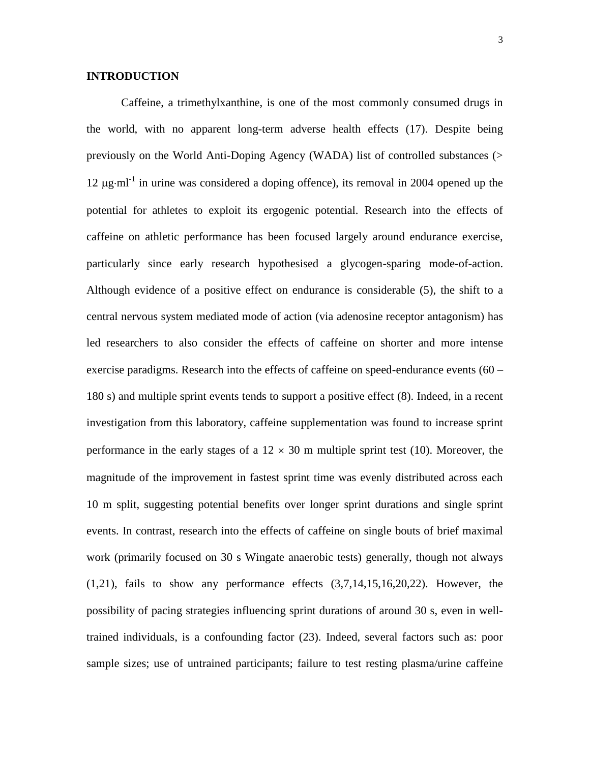# **INTRODUCTION**

Caffeine, a trimethylxanthine, is one of the most commonly consumed drugs in the world, with no apparent long-term adverse health effects (17). Despite being previously on the World Anti-Doping Agency (WADA) list of controlled substances (> 12  $\mu$ g·ml<sup>-1</sup> in urine was considered a doping offence), its removal in 2004 opened up the potential for athletes to exploit its ergogenic potential. Research into the effects of caffeine on athletic performance has been focused largely around endurance exercise, particularly since early research hypothesised a glycogen-sparing mode-of-action. Although evidence of a positive effect on endurance is considerable (5), the shift to a central nervous system mediated mode of action (via adenosine receptor antagonism) has led researchers to also consider the effects of caffeine on shorter and more intense exercise paradigms. Research into the effects of caffeine on speed-endurance events (60 – 180 s) and multiple sprint events tends to support a positive effect (8). Indeed, in a recent investigation from this laboratory, caffeine supplementation was found to increase sprint performance in the early stages of a  $12 \times 30$  m multiple sprint test (10). Moreover, the magnitude of the improvement in fastest sprint time was evenly distributed across each 10 m split, suggesting potential benefits over longer sprint durations and single sprint events. In contrast, research into the effects of caffeine on single bouts of brief maximal work (primarily focused on 30 s Wingate anaerobic tests) generally, though not always  $(1,21)$ , fails to show any performance effects  $(3,7,14,15,16,20,22)$ . However, the possibility of pacing strategies influencing sprint durations of around 30 s, even in welltrained individuals, is a confounding factor (23). Indeed, several factors such as: poor sample sizes; use of untrained participants; failure to test resting plasma/urine caffeine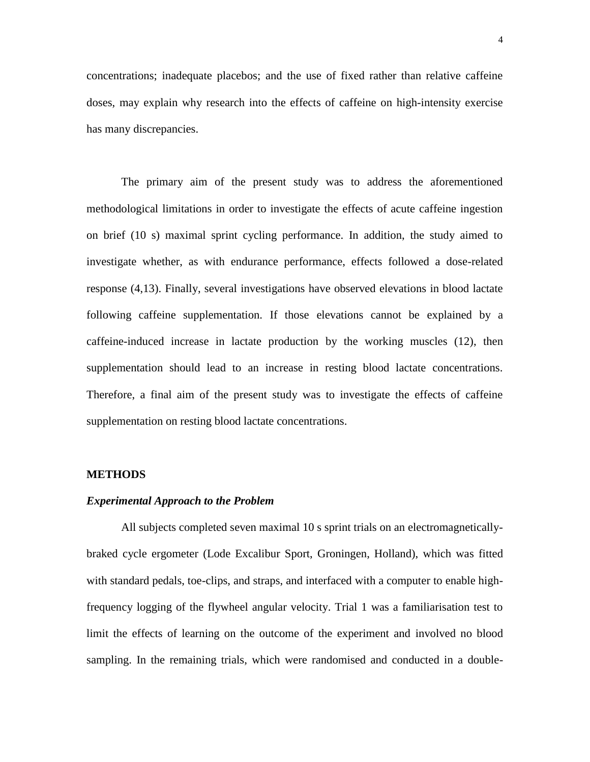concentrations; inadequate placebos; and the use of fixed rather than relative caffeine doses, may explain why research into the effects of caffeine on high-intensity exercise has many discrepancies.

The primary aim of the present study was to address the aforementioned methodological limitations in order to investigate the effects of acute caffeine ingestion on brief (10 s) maximal sprint cycling performance. In addition, the study aimed to investigate whether, as with endurance performance, effects followed a dose-related response (4,13). Finally, several investigations have observed elevations in blood lactate following caffeine supplementation. If those elevations cannot be explained by a caffeine-induced increase in lactate production by the working muscles (12), then supplementation should lead to an increase in resting blood lactate concentrations. Therefore, a final aim of the present study was to investigate the effects of caffeine supplementation on resting blood lactate concentrations.

# **METHODS**

#### *Experimental Approach to the Problem*

All subjects completed seven maximal 10 s sprint trials on an electromagneticallybraked cycle ergometer (Lode Excalibur Sport, Groningen, Holland), which was fitted with standard pedals, toe-clips, and straps, and interfaced with a computer to enable highfrequency logging of the flywheel angular velocity. Trial 1 was a familiarisation test to limit the effects of learning on the outcome of the experiment and involved no blood sampling. In the remaining trials, which were randomised and conducted in a double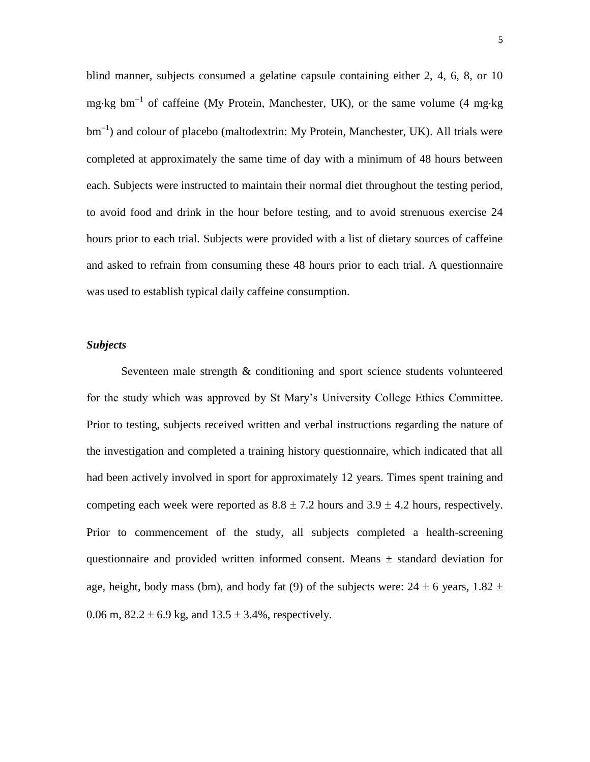blind manner, subjects consumed a gelatine capsule containing either 2, 4, 6, 8, or 10 mg·kg bm<sup>-1</sup> of caffeine (My Protein, Manchester, UK), or the same volume (4 mg·kg  $bm^{-1}$ ) and colour of placebo (maltodextrin: My Protein, Manchester, UK). All trials were completed at approximately the same time of day with a minimum of 48 hours between each. Subjects were instructed to maintain their normal diet throughout the testing period, to avoid food and drink in the hour before testing, and to avoid strenuous exercise 24 hours prior to each trial. Subjects were provided with a list of dietary sources of caffeine and asked to refrain from consuming these 48 hours prior to each trial. A questionnaire was used to establish typical daily caffeine consumption.

#### *Subjects*

Seventeen male strength & conditioning and sport science students volunteered for the study which was approved by St Mary's University College Ethics Committee. Prior to testing, subjects received written and verbal instructions regarding the nature of the investigation and completed a training history questionnaire, which indicated that all had been actively involved in sport for approximately 12 years. Times spent training and competing each week were reported as  $8.8 \pm 7.2$  hours and  $3.9 \pm 4.2$  hours, respectively. Prior to commencement of the study, all subjects completed a health-screening questionnaire and provided written informed consent. Means ± standard deviation for age, height, body mass (bm), and body fat (9) of the subjects were:  $24 \pm 6$  years,  $1.82 \pm 6$ 0.06 m,  $82.2 \pm 6.9$  kg, and  $13.5 \pm 3.4$ %, respectively.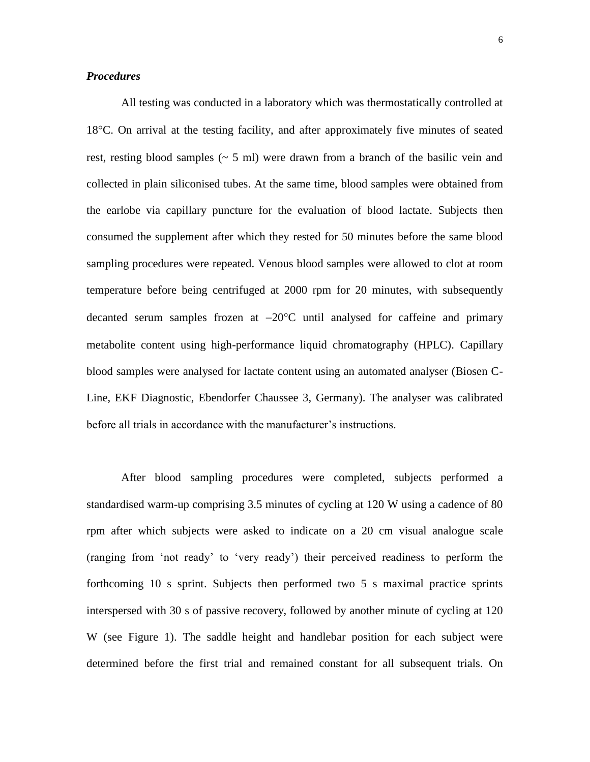### *Procedures*

All testing was conducted in a laboratory which was thermostatically controlled at 18<sup>o</sup>C. On arrival at the testing facility, and after approximately five minutes of seated rest, resting blood samples ( $\sim$  5 ml) were drawn from a branch of the basilic vein and collected in plain siliconised tubes. At the same time, blood samples were obtained from the earlobe via capillary puncture for the evaluation of blood lactate. Subjects then consumed the supplement after which they rested for 50 minutes before the same blood sampling procedures were repeated. Venous blood samples were allowed to clot at room temperature before being centrifuged at 2000 rpm for 20 minutes, with subsequently decanted serum samples frozen at  $-20^{\circ}$ C until analysed for caffeine and primary metabolite content using high-performance liquid chromatography (HPLC). Capillary blood samples were analysed for lactate content using an automated analyser (Biosen C-Line, EKF Diagnostic, Ebendorfer Chaussee 3, Germany). The analyser was calibrated before all trials in accordance with the manufacturer's instructions.

After blood sampling procedures were completed, subjects performed a standardised warm-up comprising 3.5 minutes of cycling at 120 W using a cadence of 80 rpm after which subjects were asked to indicate on a 20 cm visual analogue scale (ranging from 'not ready' to 'very ready') their perceived readiness to perform the forthcoming 10 s sprint. Subjects then performed two 5 s maximal practice sprints interspersed with 30 s of passive recovery, followed by another minute of cycling at 120 W (see Figure 1). The saddle height and handlebar position for each subject were determined before the first trial and remained constant for all subsequent trials. On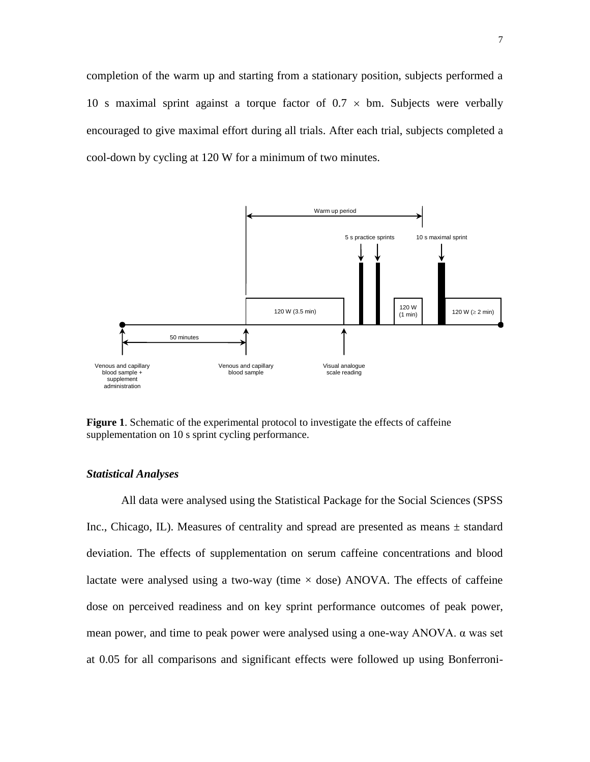completion of the warm up and starting from a stationary position, subjects performed a 10 s maximal sprint against a torque factor of  $0.7 \times$  bm. Subjects were verbally encouraged to give maximal effort during all trials. After each trial, subjects completed a cool-down by cycling at 120 W for a minimum of two minutes.



**Figure 1**. Schematic of the experimental protocol to investigate the effects of caffeine supplementation on 10 s sprint cycling performance.

### *Statistical Analyses*

All data were analysed using the Statistical Package for the Social Sciences (SPSS Inc., Chicago, IL). Measures of centrality and spread are presented as means  $\pm$  standard deviation. The effects of supplementation on serum caffeine concentrations and blood lactate were analysed using a two-way (time  $\times$  dose) ANOVA. The effects of caffeine dose on perceived readiness and on key sprint performance outcomes of peak power, mean power, and time to peak power were analysed using a one-way ANOVA. α was set at 0.05 for all comparisons and significant effects were followed up using Bonferroni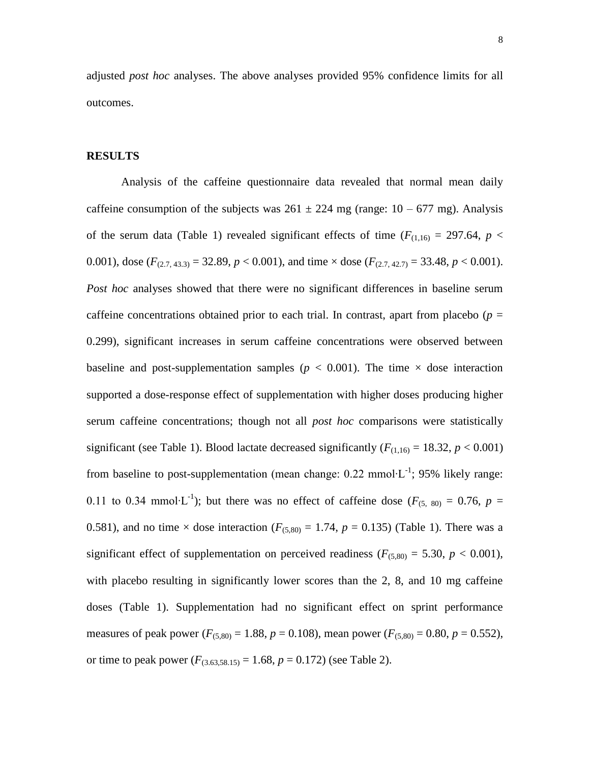adjusted *post hoc* analyses. The above analyses provided 95% confidence limits for all outcomes.

#### **RESULTS**

Analysis of the caffeine questionnaire data revealed that normal mean daily caffeine consumption of the subjects was  $261 \pm 224$  mg (range:  $10 - 677$  mg). Analysis of the serum data (Table 1) revealed significant effects of time ( $F_{(1,16)} = 297.64$ ,  $p <$ 0.001), dose  $(F_{(2.7, 43.3)} = 32.89, p < 0.001)$ , and time  $\times$  dose  $(F_{(2.7, 42.7)} = 33.48, p < 0.001)$ . *Post hoc* analyses showed that there were no significant differences in baseline serum caffeine concentrations obtained prior to each trial. In contrast, apart from placebo ( $p =$ 0.299), significant increases in serum caffeine concentrations were observed between baseline and post-supplementation samples ( $p < 0.001$ ). The time  $\times$  dose interaction supported a dose-response effect of supplementation with higher doses producing higher serum caffeine concentrations; though not all *post hoc* comparisons were statistically significant (see Table 1). Blood lactate decreased significantly ( $F_{(1,16)} = 18.32$ ,  $p < 0.001$ ) from baseline to post-supplementation (mean change:  $0.22 \text{ mmol·L}^{-1}$ ; 95% likely range: 0.11 to 0.34 mmol⋅L<sup>-1</sup>); but there was no effect of caffeine dose ( $F_{(5, 80)} = 0.76$ ,  $p =$ 0.581), and no time  $\times$  dose interaction ( $F_{(5,80)} = 1.74$ ,  $p = 0.135$ ) (Table 1). There was a significant effect of supplementation on perceived readiness ( $F_{(5,80)} = 5.30, p < 0.001$ ), with placebo resulting in significantly lower scores than the 2, 8, and 10 mg caffeine doses (Table 1). Supplementation had no significant effect on sprint performance measures of peak power ( $F_{(5,80)} = 1.88$ ,  $p = 0.108$ ), mean power ( $F_{(5,80)} = 0.80$ ,  $p = 0.552$ ), or time to peak power  $(F_{(3,63,58,15)} = 1.68, p = 0.172)$  (see Table 2).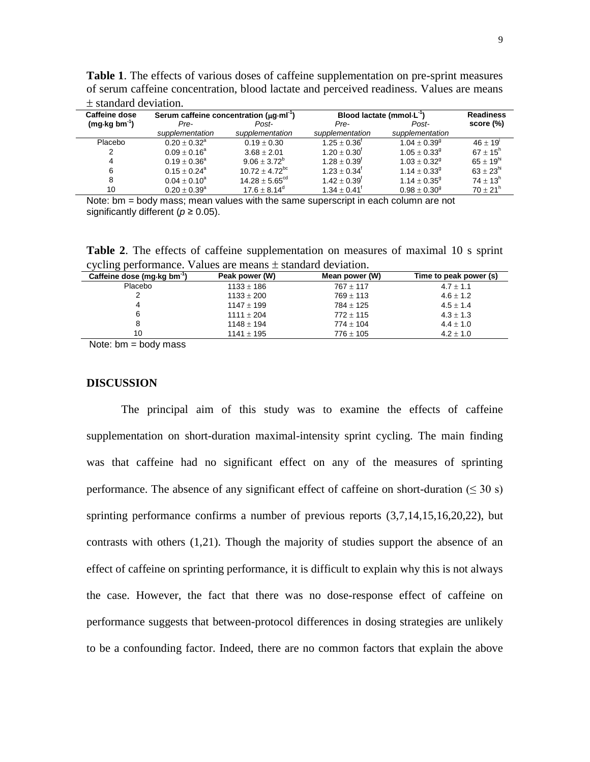| $\perp$ standard deviation.   |                                                     |                                      |                            |                              |                |
|-------------------------------|-----------------------------------------------------|--------------------------------------|----------------------------|------------------------------|----------------|
| <b>Caffeine dose</b>          | Serum caffeine concentration $(\mu q \cdot m)^{-1}$ | Blood lactate (mmol $\cdot L^{-1}$ ) |                            | <b>Readiness</b>             |                |
| $(mq \cdot kg \cdot bm^{-1})$ | Pre-                                                | Post-                                | Pre-                       | Post-                        | score (%)      |
|                               | supplementation                                     | supplementation                      | supplementation            | supplementation              |                |
| Placebo                       | $0.20 + 0.32^{\circ}$                               | $0.19 \pm 0.30$                      | $1.25 + 0.36^{\dagger}$    | $1.04 + 0.39$ <sup>g</sup>   | $46 + 19'$     |
|                               | $0.09 + 0.16^a$                                     | $3.68 + 2.01$                        | $1.20 \pm 0.30^{\circ}$    | $1.05 \pm 0.33^9$            | $67 + 15^{h}$  |
| 4                             | $0.19 \pm 0.36^a$                                   | $9.06 + 3.72^b$                      | $1.28 + 0.39$ <sup>f</sup> | $1.03 + 0.32$ <sup>9</sup>   | $65 + 19^{hi}$ |
| 6                             | $0.15 + 0.24$ <sup>a</sup>                          | $10.72 \pm 4.72$ <sup>bc</sup>       | $1.23 \pm 0.34^{\dagger}$  | $1.14 \pm 0.33$ <sup>g</sup> | $63 + 23^{hi}$ |
| 8                             | $0.04 + 0.10^a$                                     | $14.28 + 5.65^{\text{cd}}$           | $1.42 \pm 0.39^{\dagger}$  | $1.14 + 0.35^9$              | $74 + 13^{h}$  |
| 10                            | $0.20 + 0.39^{\circ}$                               | $17.6 + 8.14^{\circ}$                | $1.34 + 0.41$ <sup>T</sup> | $0.98 + 0.30^9$              | $70 + 21h$     |

**Table 1**. The effects of various doses of caffeine supplementation on pre-sprint measures of serum caffeine concentration, blood lactate and perceived readiness. Values are means standard deviation.

Note: bm = body mass; mean values with the same superscript in each column are not significantly different (*p* ≥ 0.05).

**Table 2**. The effects of caffeine supplementation on measures of maximal 10 s sprint  $c$  cycling performance. Values are means  $+$  standard deviation.

| ັ<br>Caffeine dose (mg kg bm <sup>-1</sup> ) | Peak power (W) | Mean power (W) | Time to peak power (s) |
|----------------------------------------------|----------------|----------------|------------------------|
| Placebo                                      | $1133 \pm 186$ | $767 + 117$    | $4.7 \pm 1.1$          |
|                                              | $1133 \pm 200$ | $769 + 113$    | $4.6 + 1.2$            |
|                                              | $1147 + 199$   | $784 \pm 125$  | $4.5 + 1.4$            |
| 6                                            | $1111 + 204$   | $772 + 115$    | $4.3 \pm 1.3$          |
|                                              | $1148 \pm 194$ | $774 \pm 104$  | $4.4 \pm 1.0$          |
| 10                                           | $1141 \pm 195$ | $776 \pm 105$  | $4.2 \pm 1.0$          |

Note:  $bm = body$  mass

#### **DISCUSSION**

The principal aim of this study was to examine the effects of caffeine supplementation on short-duration maximal-intensity sprint cycling. The main finding was that caffeine had no significant effect on any of the measures of sprinting performance. The absence of any significant effect of caffeine on short-duration ( $\leq 30$  s) sprinting performance confirms a number of previous reports (3,7,14,15,16,20,22), but contrasts with others (1,21). Though the majority of studies support the absence of an effect of caffeine on sprinting performance, it is difficult to explain why this is not always the case. However, the fact that there was no dose-response effect of caffeine on performance suggests that between-protocol differences in dosing strategies are unlikely to be a confounding factor. Indeed, there are no common factors that explain the above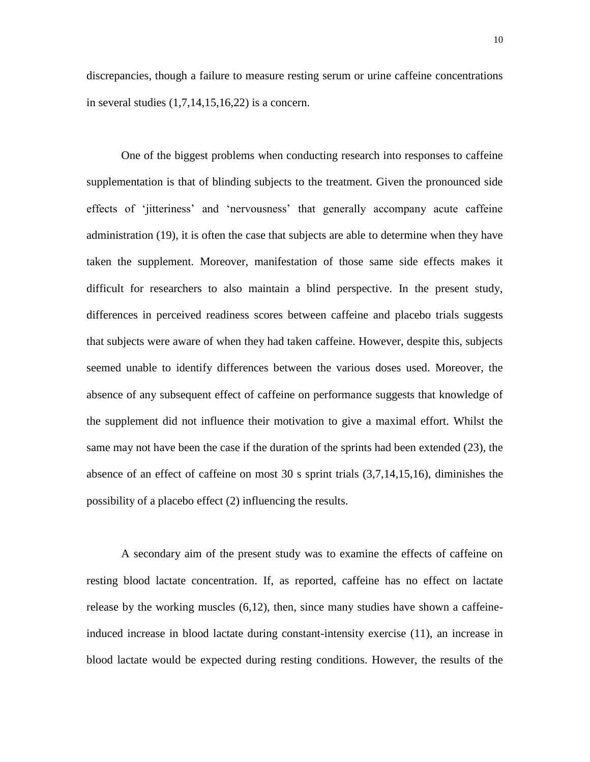discrepancies, though a failure to measure resting serum or urine caffeine concentrations in several studies  $(1,7,14,15,16,22)$  is a concern.

One of the biggest problems when conducting research into responses to caffeine supplementation is that of blinding subjects to the treatment. Given the pronounced side effects of 'jitteriness' and 'nervousness' that generally accompany acute caffeine administration (19), it is often the case that subjects are able to determine when they have taken the supplement. Moreover, manifestation of those same side effects makes it difficult for researchers to also maintain a blind perspective. In the present study, differences in perceived readiness scores between caffeine and placebo trials suggests that subjects were aware of when they had taken caffeine. However, despite this, subjects seemed unable to identify differences between the various doses used. Moreover, the absence of any subsequent effect of caffeine on performance suggests that knowledge of the supplement did not influence their motivation to give a maximal effort. Whilst the same may not have been the case if the duration of the sprints had been extended (23), the absence of an effect of caffeine on most 30 s sprint trials (3,7,14,15,16), diminishes the possibility of a placebo effect (2) influencing the results.

A secondary aim of the present study was to examine the effects of caffeine on resting blood lactate concentration. If, as reported, caffeine has no effect on lactate release by the working muscles (6,12), then, since many studies have shown a caffeineinduced increase in blood lactate during constant-intensity exercise (11), an increase in blood lactate would be expected during resting conditions. However, the results of the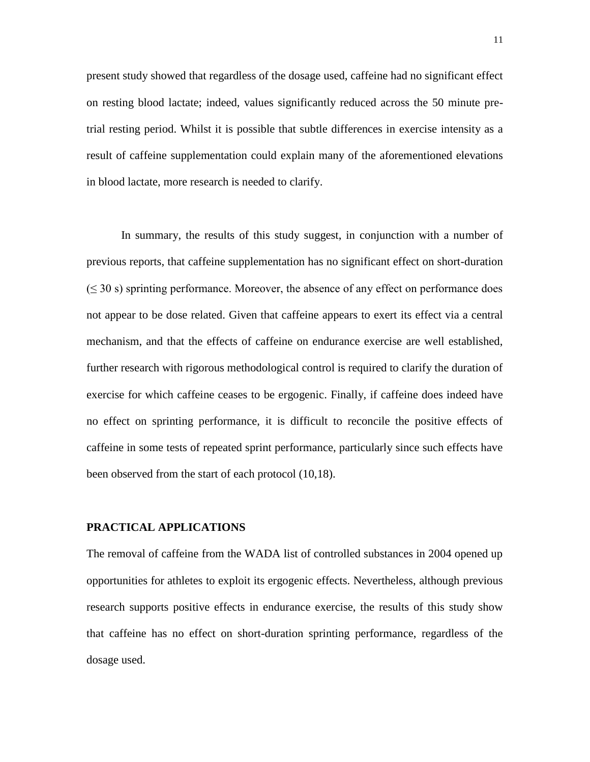present study showed that regardless of the dosage used, caffeine had no significant effect on resting blood lactate; indeed, values significantly reduced across the 50 minute pretrial resting period. Whilst it is possible that subtle differences in exercise intensity as a result of caffeine supplementation could explain many of the aforementioned elevations in blood lactate, more research is needed to clarify.

In summary, the results of this study suggest, in conjunction with a number of previous reports, that caffeine supplementation has no significant effect on short-duration  $(\leq 30 \text{ s})$  sprinting performance. Moreover, the absence of any effect on performance does not appear to be dose related. Given that caffeine appears to exert its effect via a central mechanism, and that the effects of caffeine on endurance exercise are well established, further research with rigorous methodological control is required to clarify the duration of exercise for which caffeine ceases to be ergogenic. Finally, if caffeine does indeed have no effect on sprinting performance, it is difficult to reconcile the positive effects of caffeine in some tests of repeated sprint performance, particularly since such effects have been observed from the start of each protocol (10,18).

## **PRACTICAL APPLICATIONS**

The removal of caffeine from the WADA list of controlled substances in 2004 opened up opportunities for athletes to exploit its ergogenic effects. Nevertheless, although previous research supports positive effects in endurance exercise, the results of this study show that caffeine has no effect on short-duration sprinting performance, regardless of the dosage used.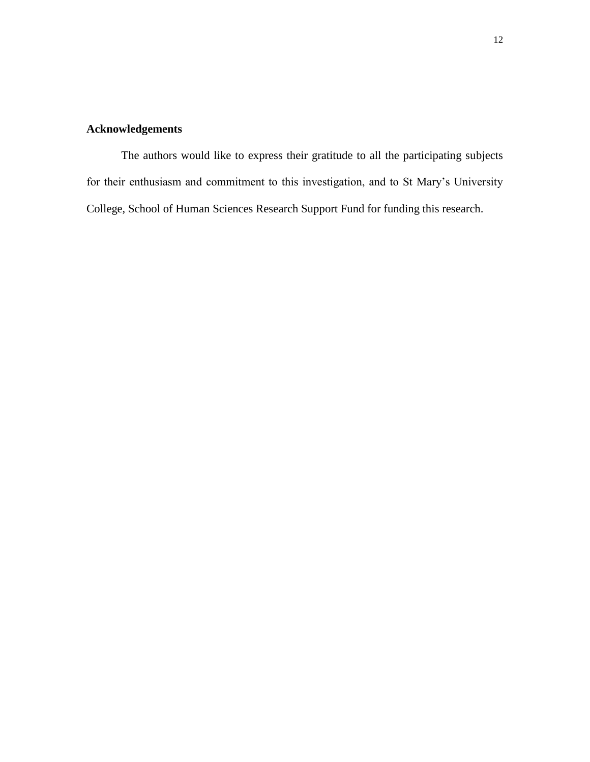# **Acknowledgements**

The authors would like to express their gratitude to all the participating subjects for their enthusiasm and commitment to this investigation, and to St Mary's University College, School of Human Sciences Research Support Fund for funding this research.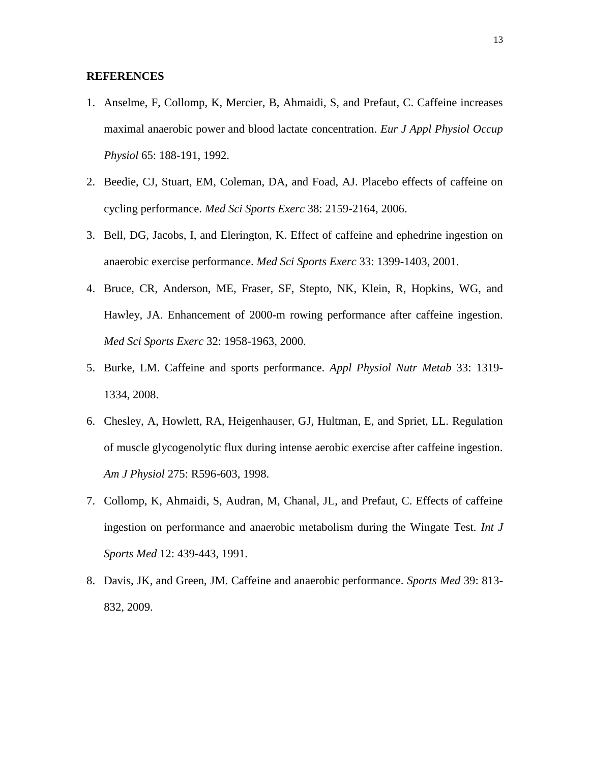## **REFERENCES**

- 1. Anselme, F, Collomp, K, Mercier, B, Ahmaidi, S, and Prefaut, C. Caffeine increases maximal anaerobic power and blood lactate concentration. *Eur J Appl Physiol Occup Physiol* 65: 188-191, 1992.
- 2. Beedie, CJ, Stuart, EM, Coleman, DA, and Foad, AJ. Placebo effects of caffeine on cycling performance. *Med Sci Sports Exerc* 38: 2159-2164, 2006.
- 3. Bell, DG, Jacobs, I, and Elerington, K. Effect of caffeine and ephedrine ingestion on anaerobic exercise performance. *Med Sci Sports Exerc* 33: 1399-1403, 2001.
- 4. Bruce, CR, Anderson, ME, Fraser, SF, Stepto, NK, Klein, R, Hopkins, WG, and Hawley, JA. Enhancement of 2000-m rowing performance after caffeine ingestion. *Med Sci Sports Exerc* 32: 1958-1963, 2000.
- 5. Burke, LM. Caffeine and sports performance. *Appl Physiol Nutr Metab* 33: 1319- 1334, 2008.
- 6. Chesley, A, Howlett, RA, Heigenhauser, GJ, Hultman, E, and Spriet, LL. Regulation of muscle glycogenolytic flux during intense aerobic exercise after caffeine ingestion. *Am J Physiol* 275: R596-603, 1998.
- 7. Collomp, K, Ahmaidi, S, Audran, M, Chanal, JL, and Prefaut, C. Effects of caffeine ingestion on performance and anaerobic metabolism during the Wingate Test. *Int J Sports Med* 12: 439-443, 1991.
- 8. Davis, JK, and Green, JM. Caffeine and anaerobic performance. *Sports Med* 39: 813- 832, 2009.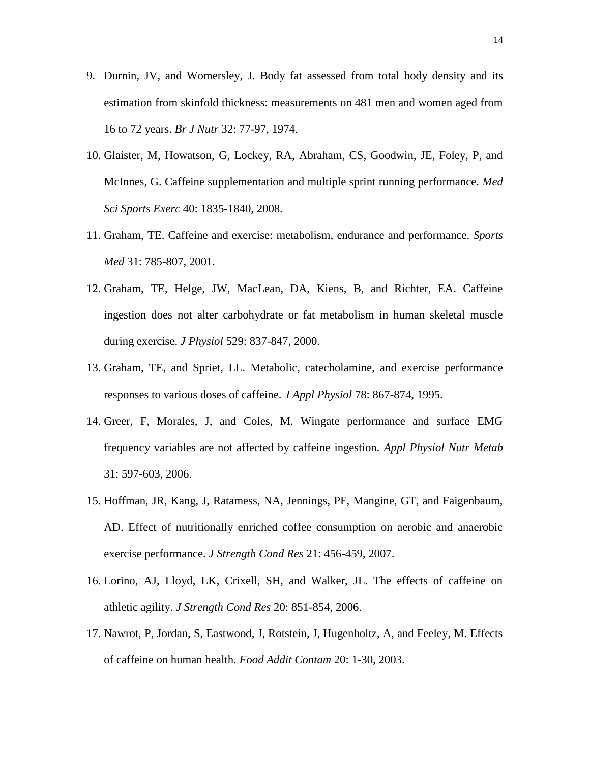- 9. Durnin, JV, and Womersley, J. Body fat assessed from total body density and its estimation from skinfold thickness: measurements on 481 men and women aged from 16 to 72 years. *Br J Nutr* 32: 77-97, 1974.
- 10. Glaister, M, Howatson, G, Lockey, RA, Abraham, CS, Goodwin, JE, Foley, P, and McInnes, G. Caffeine supplementation and multiple sprint running performance. *Med Sci Sports Exerc* 40: 1835-1840, 2008.
- 11. Graham, TE. Caffeine and exercise: metabolism, endurance and performance. *Sports Med* 31: 785-807, 2001.
- 12. Graham, TE, Helge, JW, MacLean, DA, Kiens, B, and Richter, EA. Caffeine ingestion does not alter carbohydrate or fat metabolism in human skeletal muscle during exercise. *J Physiol* 529: 837-847, 2000.
- 13. Graham, TE, and Spriet, LL. Metabolic, catecholamine, and exercise performance responses to various doses of caffeine. *J Appl Physiol* 78: 867-874, 1995.
- 14. Greer, F, Morales, J, and Coles, M. Wingate performance and surface EMG frequency variables are not affected by caffeine ingestion. *Appl Physiol Nutr Metab* 31: 597-603, 2006.
- 15. Hoffman, JR, Kang, J, Ratamess, NA, Jennings, PF, Mangine, GT, and Faigenbaum, AD. Effect of nutritionally enriched coffee consumption on aerobic and anaerobic exercise performance. *J Strength Cond Res* 21: 456-459, 2007.
- 16. Lorino, AJ, Lloyd, LK, Crixell, SH, and Walker, JL. The effects of caffeine on athletic agility. *J Strength Cond Res* 20: 851-854, 2006.
- 17. Nawrot, P, Jordan, S, Eastwood, J, Rotstein, J, Hugenholtz, A, and Feeley, M. Effects of caffeine on human health. *Food Addit Contam* 20: 1-30, 2003.